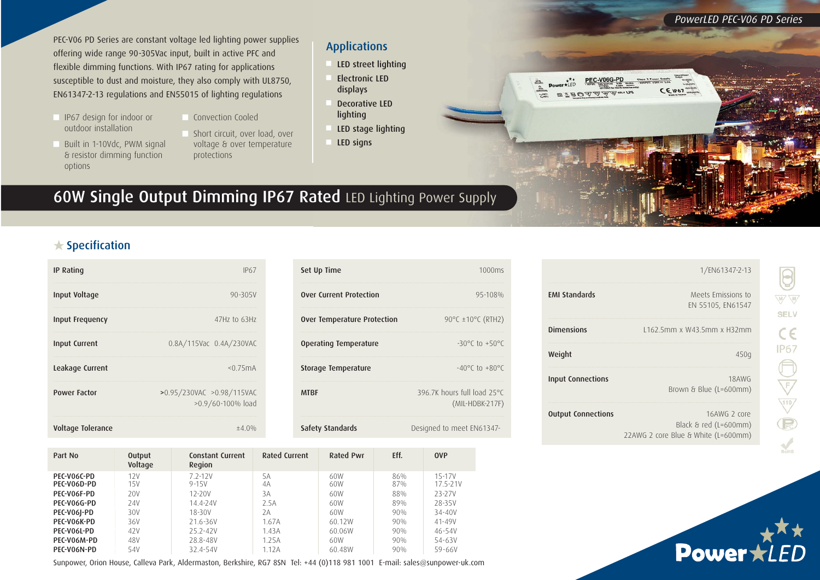PEC-V06 PD Series are constant voltage led lighting power supplies offering wide range 90-305Vac input, built in active PFC and flexible dimming functions. With IP67 rating for applications susceptible to dust and moisture, they also comply with UL8750, EN61347-2-13 regulations and EN55015 of lighting regulations

- <sup>n</sup> IP67 design for indoor or outdoor installation
- Built in 1-10Vdc, PWM signal & resistor dimming function
- Convection Cooled
- Short circuit, over load, over voltage & over temperature protections

#### Applications

- LED street lighting
- Electronic LED displays
- Decorative LED lighting
- LED stage lighting
- LED signs

# 60W Single Output Dimming IP67 Rated LED Lighting Power Supply

### $\bigstar$  Specification

options

| <b>IP Rating</b>       | IP67                                           |
|------------------------|------------------------------------------------|
| Input Voltage          | $90 - 305V$                                    |
| <b>Input Frequency</b> | 47Hz to 63Hz                                   |
| <b>Input Current</b>   | 0.8A/115Vac 0.4A/230VAC                        |
| Leakage Current        | < 0.75mA                                       |
| <b>Power Factor</b>    | >0.95/230VAC >0.98/115VAC<br>>0.9/60-100% load |
| Voltage Tolerance      | $\pm 4.0\%$                                    |

| Set Up Time                        | 1000ms                                           |
|------------------------------------|--------------------------------------------------|
| <b>Over Current Protection</b>     | 95-108%                                          |
| <b>Over Temperature Protection</b> | 90°C ±10°C (RTH2)                                |
| Operating Temperature              | $-30^{\circ}$ (to $+50^{\circ}$ C                |
| <b>Storage Temperature</b>         | $-40^{\circ}$ C to $+80^{\circ}$ C               |
| <b>MTRF</b>                        | 396.7K hours full load 25°C<br>$(MIL-HDBK-217F)$ |
| <b>Safety Standards</b>            | Designed to meet EN61347-                        |

| Part No                    | <b>Output</b><br>Voltage | <b>Constant Current</b><br>Region | Rated Current | Rated Pwr  | Eff.       | <b>OVP</b>         |
|----------------------------|--------------------------|-----------------------------------|---------------|------------|------------|--------------------|
| PEC-V06C-PD<br>PEC-V06D-PD | 12V<br>15V               | $72-12V$<br>$9 - 15V$             | 5Α<br>4A      | 60W<br>60W | 86%<br>87% | 15-17V<br>17.5-21V |
| PEC-VO6F-PD                | 20V                      | $12 - 20V$                        | 3A            | 60W        | 88%        | 23-27V             |
| PEC-V06G-PD                | 24V                      | 14.4-24V                          | 2.5A          | 60W        | 89%        | 28-35V             |
| PEC-V06J-PD                | 30V                      | 18-30V                            | 2Α            | 60W        | 90%        | 34-40V             |
| PEC-VO6K-PD                | 36V                      | 21.6-36V                          | 1.67A         | 60.12W     | 90%        | 41-49V             |
| PEC-V06L-PD                | 42V                      | $25.2 - 42V$                      | 1.43A         | 60.06W     | 90%        | $46 - 54V$         |
| PEC-V06M-PD                | 48V                      | 28.8-48V                          | 1.25A         | 60W        | 90%        | 54-63V             |
| PEC-V06N-PD                | 54V                      | 32.4-54V                          | 1.12A         | 60.48W     | 90%        | 59-66V             |

Sunpower, Orion House, Calleva Park, Aldermaston, Berkshire, RG7 8SN Tel: +44 (0)118 981 1001 E-mail: sales@sunpower-uk.com

|                           | 1/EN61347-2-13                                                                      |
|---------------------------|-------------------------------------------------------------------------------------|
| <b>FMI Standards</b>      | Meets Emissions to<br>EN 55105, EN61547                                             |
| <b>Dimensions</b>         | 1162.5mm x W43.5mm x H32mm                                                          |
| Weight                    | 450g                                                                                |
| <b>Input Connections</b>  | 18AWG<br>Brown & Blue (L=600mm)                                                     |
| <b>Output Connections</b> | 16AWG 2 core<br>Black $\delta$ red (L=600mm)<br>22AWG 2 core Blue & White (L=600mm) |

 $EIP67$ 



W W **SELV** 

 $c \in$ IP67

 $\begin{picture}(40,40) \put(0,0){\line(1,0){155}} \put(15,0){\line(1,0){155}} \put(15,0){\line(1,0){155}} \put(15,0){\line(1,0){155}} \put(15,0){\line(1,0){155}} \put(15,0){\line(1,0){155}} \put(15,0){\line(1,0){155}} \put(15,0){\line(1,0){155}} \put(15,0){\line(1,0){155}} \put(15,0){\line(1,0){155}} \put(15,0){\line(1,0){155}} \$ 

*PowerLED PEC-V06 PD Series*